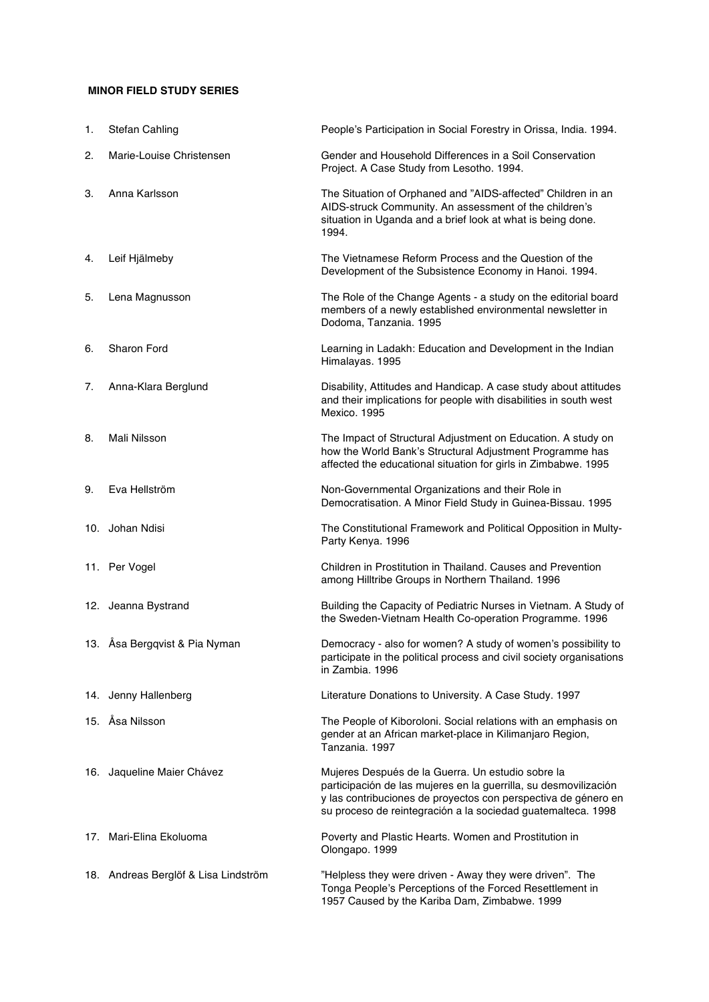## **MINOR FIELD STUDY SERIES**

| 1. | <b>Stefan Cahling</b>                | People's Participation in Social Forestry in Orissa, India. 1994.                                                                                                                                                                                       |
|----|--------------------------------------|---------------------------------------------------------------------------------------------------------------------------------------------------------------------------------------------------------------------------------------------------------|
| 2. | Marie-Louise Christensen             | Gender and Household Differences in a Soil Conservation<br>Project. A Case Study from Lesotho. 1994.                                                                                                                                                    |
| З. | Anna Karlsson                        | The Situation of Orphaned and "AIDS-affected" Children in an<br>AIDS-struck Community. An assessment of the children's<br>situation in Uganda and a brief look at what is being done.<br>1994.                                                          |
| 4. | Leif Hjälmeby                        | The Vietnamese Reform Process and the Question of the<br>Development of the Subsistence Economy in Hanoi. 1994.                                                                                                                                         |
| 5. | Lena Magnusson                       | The Role of the Change Agents - a study on the editorial board<br>members of a newly established environmental newsletter in<br>Dodoma, Tanzania. 1995                                                                                                  |
| 6. | Sharon Ford                          | Learning in Ladakh: Education and Development in the Indian<br>Himalayas. 1995                                                                                                                                                                          |
| 7. | Anna-Klara Berglund                  | Disability, Attitudes and Handicap. A case study about attitudes<br>and their implications for people with disabilities in south west<br><b>Mexico. 1995</b>                                                                                            |
| 8. | Mali Nilsson                         | The Impact of Structural Adjustment on Education. A study on<br>how the World Bank's Structural Adjustment Programme has<br>affected the educational situation for girls in Zimbabwe. 1995                                                              |
| 9. | Eva Hellström                        | Non-Governmental Organizations and their Role in<br>Democratisation. A Minor Field Study in Guinea-Bissau. 1995                                                                                                                                         |
|    | 10. Johan Ndisi                      | The Constitutional Framework and Political Opposition in Multy-<br>Party Kenya. 1996                                                                                                                                                                    |
|    | 11. Per Vogel                        | Children in Prostitution in Thailand. Causes and Prevention<br>among Hilltribe Groups in Northern Thailand. 1996                                                                                                                                        |
|    | 12. Jeanna Bystrand                  | Building the Capacity of Pediatric Nurses in Vietnam. A Study of<br>the Sweden-Vietnam Health Co-operation Programme. 1996                                                                                                                              |
|    | 13. Åsa Bergqvist & Pia Nyman        | Democracy - also for women? A study of women's possibility to<br>participate in the political process and civil society organisations<br>in Zambia, 1996                                                                                                |
|    | 14. Jenny Hallenberg                 | Literature Donations to University. A Case Study. 1997                                                                                                                                                                                                  |
|    | 15. Åsa Nilsson                      | The People of Kiboroloni. Social relations with an emphasis on<br>gender at an African market-place in Kilimanjaro Region,<br>Tanzania, 1997                                                                                                            |
|    | 16. Jaqueline Maier Chávez           | Mujeres Después de la Guerra. Un estudio sobre la<br>participación de las mujeres en la guerrilla, su desmovilización<br>y las contribuciones de proyectos con perspectiva de género en<br>su proceso de reintegración a la sociedad guatemalteca. 1998 |
|    | 17. Mari-Elina Ekoluoma              | Poverty and Plastic Hearts. Women and Prostitution in<br>Olongapo. 1999                                                                                                                                                                                 |
|    | 18. Andreas Berglöf & Lisa Lindström | "Helpless they were driven - Away they were driven". The<br>Tonga People's Perceptions of the Forced Resettlement in<br>1957 Caused by the Kariba Dam, Zimbabwe. 1999                                                                                   |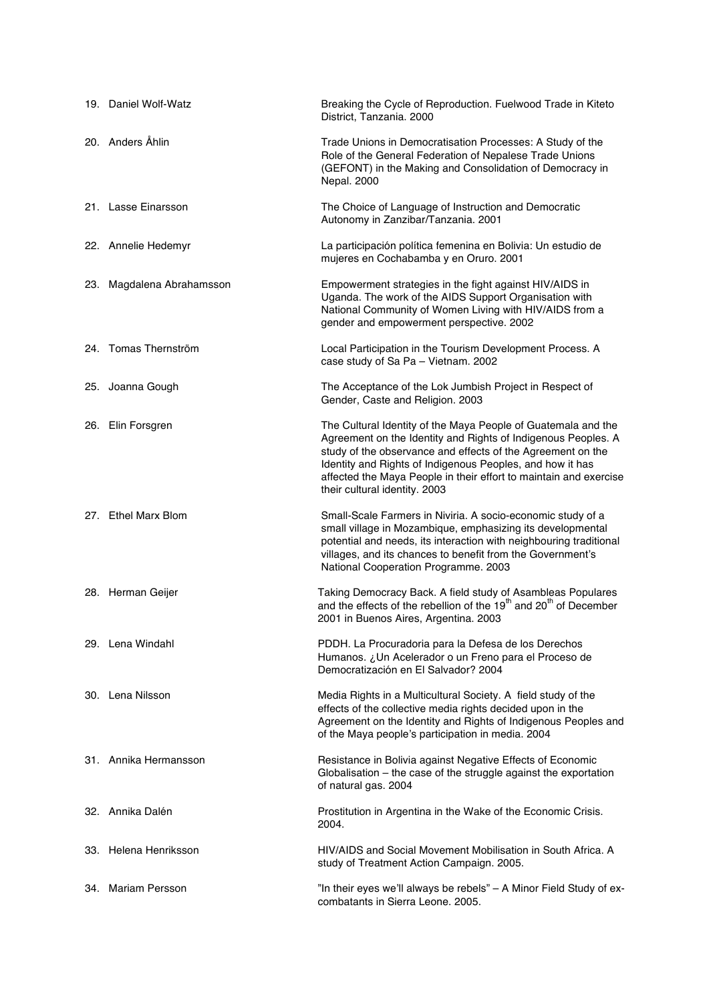| 19. Daniel Wolf-Watz      | Breaking the Cycle of Reproduction. Fuelwood Trade in Kiteto<br>District, Tanzania. 2000                                                                                                                                                                                                                                                                         |
|---------------------------|------------------------------------------------------------------------------------------------------------------------------------------------------------------------------------------------------------------------------------------------------------------------------------------------------------------------------------------------------------------|
| 20. Anders Åhlin          | Trade Unions in Democratisation Processes: A Study of the<br>Role of the General Federation of Nepalese Trade Unions<br>(GEFONT) in the Making and Consolidation of Democracy in<br>Nepal. 2000                                                                                                                                                                  |
| 21. Lasse Einarsson       | The Choice of Language of Instruction and Democratic<br>Autonomy in Zanzibar/Tanzania. 2001                                                                                                                                                                                                                                                                      |
| 22. Annelie Hedemyr       | La participación política femenina en Bolivia: Un estudio de<br>mujeres en Cochabamba y en Oruro. 2001                                                                                                                                                                                                                                                           |
| 23. Magdalena Abrahamsson | Empowerment strategies in the fight against HIV/AIDS in<br>Uganda. The work of the AIDS Support Organisation with<br>National Community of Women Living with HIV/AIDS from a<br>gender and empowerment perspective. 2002                                                                                                                                         |
| 24. Tomas Thernström      | Local Participation in the Tourism Development Process. A<br>case study of Sa Pa - Vietnam. 2002                                                                                                                                                                                                                                                                 |
| 25. Joanna Gough          | The Acceptance of the Lok Jumbish Project in Respect of<br>Gender, Caste and Religion. 2003                                                                                                                                                                                                                                                                      |
| 26. Elin Forsgren         | The Cultural Identity of the Maya People of Guatemala and the<br>Agreement on the Identity and Rights of Indigenous Peoples. A<br>study of the observance and effects of the Agreement on the<br>Identity and Rights of Indigenous Peoples, and how it has<br>affected the Maya People in their effort to maintain and exercise<br>their cultural identity. 2003 |
| 27. Ethel Marx Blom       | Small-Scale Farmers in Niviria. A socio-economic study of a<br>small village in Mozambique, emphasizing its developmental<br>potential and needs, its interaction with neighbouring traditional<br>villages, and its chances to benefit from the Government's<br>National Cooperation Programme. 2003                                                            |
| 28. Herman Geijer         | Taking Democracy Back. A field study of Asambleas Populares<br>and the effects of the rebellion of the 19 <sup>th</sup> and 20 <sup>th</sup> of December<br>2001 in Buenos Aires, Argentina. 2003                                                                                                                                                                |
| 29. Lena Windahl          | PDDH. La Procuradoria para la Defesa de los Derechos<br>Humanos. ¿Un Acelerador o un Freno para el Proceso de<br>Democratización en El Salvador? 2004                                                                                                                                                                                                            |
| 30. Lena Nilsson          | Media Rights in a Multicultural Society. A field study of the<br>effects of the collective media rights decided upon in the<br>Agreement on the Identity and Rights of Indigenous Peoples and<br>of the Maya people's participation in media. 2004                                                                                                               |
| 31. Annika Hermansson     | Resistance in Bolivia against Negative Effects of Economic<br>Globalisation - the case of the struggle against the exportation<br>of natural gas. 2004                                                                                                                                                                                                           |
| 32. Annika Dalén          | Prostitution in Argentina in the Wake of the Economic Crisis.<br>2004.                                                                                                                                                                                                                                                                                           |
| 33. Helena Henriksson     | HIV/AIDS and Social Movement Mobilisation in South Africa. A<br>study of Treatment Action Campaign. 2005.                                                                                                                                                                                                                                                        |
| 34. Mariam Persson        | "In their eyes we'll always be rebels" - A Minor Field Study of ex-<br>combatants in Sierra Leone. 2005.                                                                                                                                                                                                                                                         |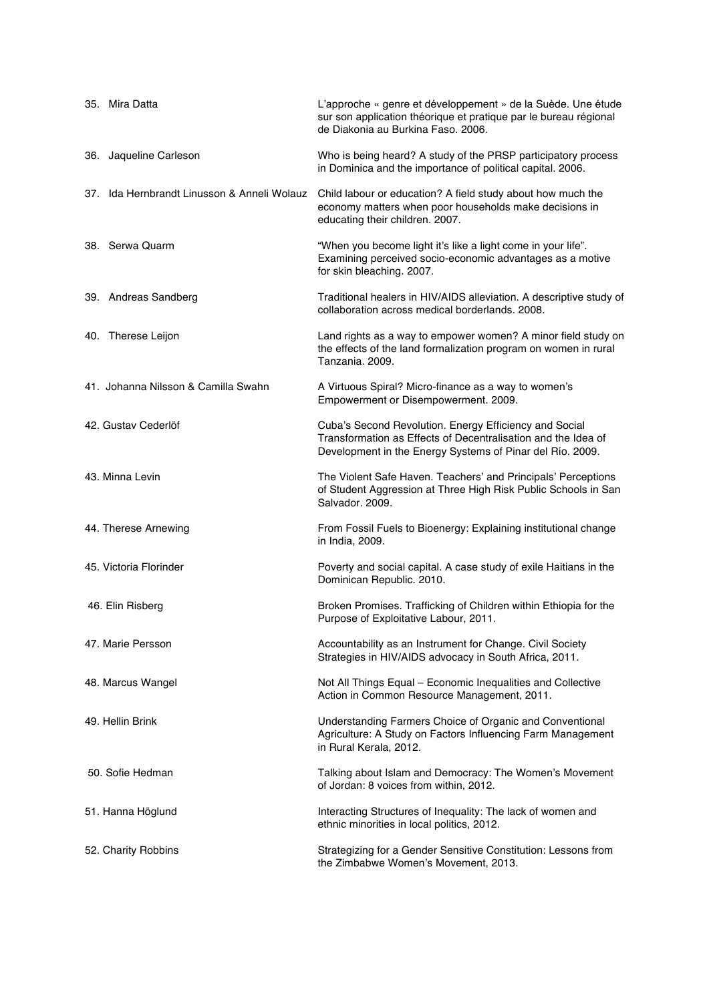| 35. Mira Datta                              | L'approche « genre et développement » de la Suède. Une étude<br>sur son application théorique et pratique par le bureau régional<br>de Diakonia au Burkina Faso. 2006.               |
|---------------------------------------------|--------------------------------------------------------------------------------------------------------------------------------------------------------------------------------------|
| 36. Jaqueline Carleson                      | Who is being heard? A study of the PRSP participatory process<br>in Dominica and the importance of political capital. 2006.                                                          |
| 37. Ida Hernbrandt Linusson & Anneli Wolauz | Child labour or education? A field study about how much the<br>economy matters when poor households make decisions in<br>educating their children. 2007.                             |
| 38. Serwa Quarm                             | "When you become light it's like a light come in your life".<br>Examining perceived socio-economic advantages as a motive<br>for skin bleaching. 2007.                               |
| 39. Andreas Sandberg                        | Traditional healers in HIV/AIDS alleviation. A descriptive study of<br>collaboration across medical borderlands, 2008.                                                               |
| 40. Therese Leijon                          | Land rights as a way to empower women? A minor field study on<br>the effects of the land formalization program on women in rural<br>Tanzania, 2009.                                  |
| 41. Johanna Nilsson & Camilla Swahn         | A Virtuous Spiral? Micro-finance as a way to women's<br>Empowerment or Disempowerment. 2009.                                                                                         |
| 42. Gustav Cederlöf                         | Cuba's Second Revolution. Energy Efficiency and Social<br>Transformation as Effects of Decentralisation and the Idea of<br>Development in the Energy Systems of Pinar del Río. 2009. |
| 43. Minna Levin                             | The Violent Safe Haven. Teachers' and Principals' Perceptions<br>of Student Aggression at Three High Risk Public Schools in San<br>Salvador. 2009.                                   |
| 44. Therese Arnewing                        | From Fossil Fuels to Bioenergy: Explaining institutional change<br>in India, 2009.                                                                                                   |
| 45. Victoria Florinder                      | Poverty and social capital. A case study of exile Haitians in the<br>Dominican Republic. 2010.                                                                                       |
| 46. Elin Risberg                            | Broken Promises. Trafficking of Children within Ethiopia for the<br>Purpose of Exploitative Labour, 2011.                                                                            |
| 47. Marie Persson                           | Accountability as an Instrument for Change. Civil Society<br>Strategies in HIV/AIDS advocacy in South Africa, 2011.                                                                  |
| 48. Marcus Wangel                           | Not All Things Equal - Economic Inequalities and Collective<br>Action in Common Resource Management, 2011.                                                                           |
| 49. Hellin Brink                            | Understanding Farmers Choice of Organic and Conventional<br>Agriculture: A Study on Factors Influencing Farm Management<br>in Rural Kerala, 2012.                                    |
| 50. Sofie Hedman                            | Talking about Islam and Democracy: The Women's Movement<br>of Jordan: 8 voices from within, 2012.                                                                                    |
| 51. Hanna Höglund                           | Interacting Structures of Inequality: The lack of women and<br>ethnic minorities in local politics, 2012.                                                                            |
| 52. Charity Robbins                         | Strategizing for a Gender Sensitive Constitution: Lessons from<br>the Zimbabwe Women's Movement, 2013.                                                                               |